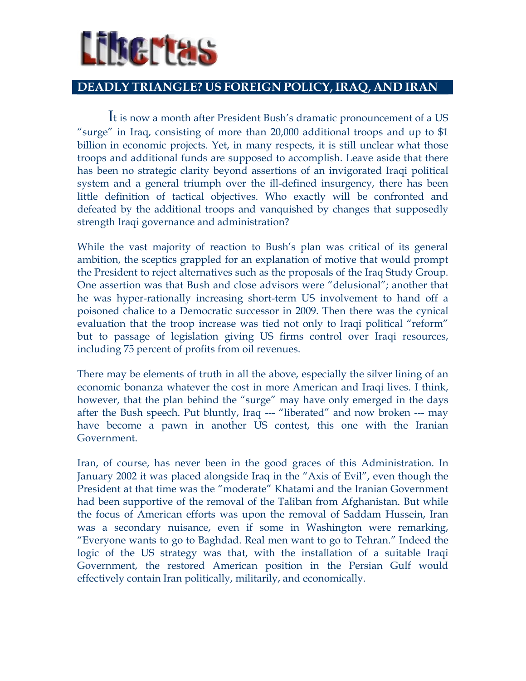# Liberta

#### DEADLY TRIANGLE? US FOREIGN POLICY, IRAQ, AND IRAN

It is now a month after President Bush's dramatic pronouncement of a US "surge" in Iraq, consisting of more than 20,000 additional troops and up to \$1 billion in economic projects. Yet, in many respects, it is still unclear what those troops and additional funds are supposed to accomplish. Leave aside that there has been no strategic clarity beyond assertions of an invigorated Iraqi political system and a general triumph over the ill-defined insurgency, there has been little definition of tactical objectives. Who exactly will be confronted and defeated by the additional troops and vanquished by changes that supposedly strength Iraqi governance and administration?

While the vast majority of reaction to Bush's plan was critical of its general ambition, the sceptics grappled for an explanation of motive that would prompt the President to reject alternatives such as the proposals of the Iraq Study Group. One assertion was that Bush and close advisors were "delusional"; another that he was hyper-rationally increasing short-term US involvement to hand off a poisoned chalice to a Democratic successor in 2009. Then there was the cynical evaluation that the troop increase was tied not only to Iraqi political "reform" but to passage of legislation giving US firms control over Iraqi resources, including 75 percent of profits from oil revenues.

There may be elements of truth in all the above, especially the silver lining of an economic bonanza whatever the cost in more American and Iraqi lives. I think, however, that the plan behind the "surge" may have only emerged in the days after the Bush speech. Put bluntly, Iraq --- "liberated" and now broken --- may have become a pawn in another US contest, this one with the Iranian Government.

Iran, of course, has never been in the good graces of this Administration. In January 2002 it was placed alongside Iraq in the "Axis of Evil", even though the President at that time was the "moderate" Khatami and the Iranian Government had been supportive of the removal of the Taliban from Afghanistan. But while the focus of American efforts was upon the removal of Saddam Hussein, Iran was a secondary nuisance, even if some in Washington were remarking, "Everyone wants to go to Baghdad. Real men want to go to Tehran." Indeed the logic of the US strategy was that, with the installation of a suitable Iraqi Government, the restored American position in the Persian Gulf would effectively contain Iran politically, militarily, and economically.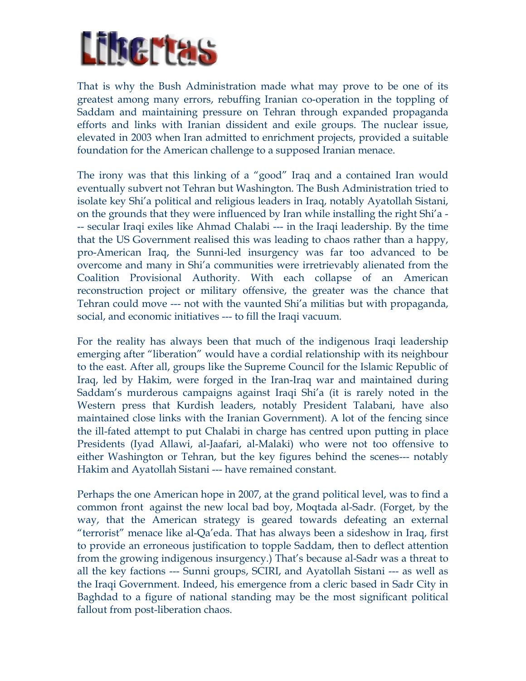## LEFTERS

That is why the Bush Administration made what may prove to be one of its greatest among many errors, rebuffing Iranian co-operation in the toppling of Saddam and maintaining pressure on Tehran through expanded propaganda efforts and links with Iranian dissident and exile groups. The nuclear issue, elevated in 2003 when Iran admitted to enrichment projects, provided a suitable foundation for the American challenge to a supposed Iranian menace.

The irony was that this linking of a "good" Iraq and a contained Iran would eventually subvert not Tehran but Washington. The Bush Administration tried to isolate key Shi'a political and religious leaders in Iraq, notably Ayatollah Sistani, on the grounds that they were influenced by Iran while installing the right Shi'a - -- secular Iraqi exiles like Ahmad Chalabi --- in the Iraqi leadership. By the time that the US Government realised this was leading to chaos rather than a happy, pro-American Iraq, the Sunni-led insurgency was far too advanced to be overcome and many in Shi'a communities were irretrievably alienated from the Coalition Provisional Authority. With each collapse of an American reconstruction project or military offensive, the greater was the chance that Tehran could move --- not with the vaunted Shi'a militias but with propaganda, social, and economic initiatives --- to fill the Iraqi vacuum.

For the reality has always been that much of the indigenous Iraqi leadership emerging after "liberation" would have a cordial relationship with its neighbour to the east. After all, groups like the Supreme Council for the Islamic Republic of Iraq, led by Hakim, were forged in the Iran-Iraq war and maintained during Saddam's murderous campaigns against Iraqi Shi'a (it is rarely noted in the Western press that Kurdish leaders, notably President Talabani, have also maintained close links with the Iranian Government). A lot of the fencing since the ill-fated attempt to put Chalabi in charge has centred upon putting in place Presidents (Iyad Allawi, al-Jaafari, al-Malaki) who were not too offensive to either Washington or Tehran, but the key figures behind the scenes--- notably Hakim and Ayatollah Sistani --- have remained constant.

Perhaps the one American hope in 2007, at the grand political level, was to find a common front against the new local bad boy, Moqtada al-Sadr. (Forget, by the way, that the American strategy is geared towards defeating an external "terrorist" menace like al-Qa'eda. That has always been a sideshow in Iraq, first to provide an erroneous justification to topple Saddam, then to deflect attention from the growing indigenous insurgency.) That's because al-Sadr was a threat to all the key factions --- Sunni groups, SCIRI, and Ayatollah Sistani --- as well as the Iraqi Government. Indeed, his emergence from a cleric based in Sadr City in Baghdad to a figure of national standing may be the most significant political fallout from post-liberation chaos.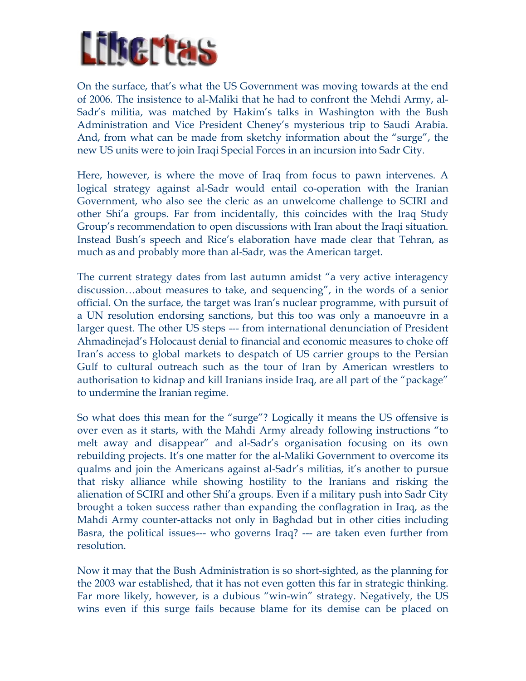# LEBELTA

On the surface, that's what the US Government was moving towards at the end of 2006. The insistence to al-Maliki that he had to confront the Mehdi Army, al-Sadr's militia, was matched by Hakim's talks in Washington with the Bush Administration and Vice President Cheney's mysterious trip to Saudi Arabia. And, from what can be made from sketchy information about the "surge", the new US units were to join Iraqi Special Forces in an incursion into Sadr City.

Here, however, is where the move of Iraq from focus to pawn intervenes. A logical strategy against al-Sadr would entail co-operation with the Iranian Government, who also see the cleric as an unwelcome challenge to SCIRI and other Shi'a groups. Far from incidentally, this coincides with the Iraq Study Group's recommendation to open discussions with Iran about the Iraqi situation. Instead Bush's speech and Rice's elaboration have made clear that Tehran, as much as and probably more than al-Sadr, was the American target.

The current strategy dates from last autumn amidst "a very active interagency discussion…about measures to take, and sequencing", in the words of a senior official. On the surface, the target was Iran's nuclear programme, with pursuit of a UN resolution endorsing sanctions, but this too was only a manoeuvre in a larger quest. The other US steps --- from international denunciation of President Ahmadinejad's Holocaust denial to financial and economic measures to choke off Iran's access to global markets to despatch of US carrier groups to the Persian Gulf to cultural outreach such as the tour of Iran by American wrestlers to authorisation to kidnap and kill Iranians inside Iraq, are all part of the "package" to undermine the Iranian regime.

So what does this mean for the "surge"? Logically it means the US offensive is over even as it starts, with the Mahdi Army already following instructions "to melt away and disappear" and al-Sadr's organisation focusing on its own rebuilding projects. It's one matter for the al-Maliki Government to overcome its qualms and join the Americans against al-Sadr's militias, it's another to pursue that risky alliance while showing hostility to the Iranians and risking the alienation of SCIRI and other Shi'a groups. Even if a military push into Sadr City brought a token success rather than expanding the conflagration in Iraq, as the Mahdi Army counter-attacks not only in Baghdad but in other cities including Basra, the political issues--- who governs Iraq? --- are taken even further from resolution.

Now it may that the Bush Administration is so short-sighted, as the planning for the 2003 war established, that it has not even gotten this far in strategic thinking. Far more likely, however, is a dubious "win-win" strategy. Negatively, the US wins even if this surge fails because blame for its demise can be placed on